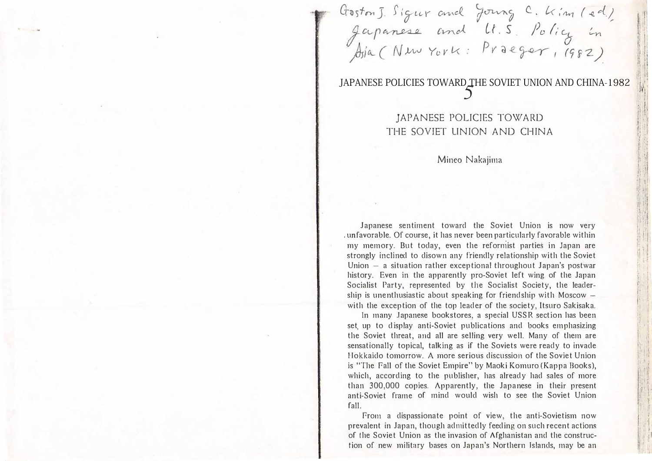Goston J. Sigur and Jourg C. Kim (ed.)<br>Japanese and U.S. Policy in<br>Asia (New York: Praeger, 1982)

# JAPANESE POLICIES TOWARD THE SOVIET UNION AND CHINA-1982

JAPANESE POLICIES TOWARD THE SOVIET UNION AND CHINA

### Mineo Nakajima

Japanese sentiment toward the Soviet Union is now very unfavorable. Of course, it has never been particularly favorable within my memory. But today, even the reformist parties in Japan are strongly inclined to disown any friendly relationship with the Soviet Union  $-$  a situation rather exceptional throughout Japan's postwar history. Even in the apparently pro-Soviet left wing of the Japan Socialist Party, represented by the Socialist Society, the leadership is unenthusiastic about speaking for friendship with Moscow with the exception of the top leader of the society, Itsuro Sakisaka.

In many Japanese bookstores, a special USSR section has been set up to display anti-Soviet publications and books emphasizing the Soviet threat, and all are selling very well. Many of them are sensationally topical, talking as if the Soviets were ready to invade Hokkaido tomorrow. A more serious discussion of the Soviet Union is "The Fall of the Soviet Empire" by Maoki Komuro (Kappa Books), which, according to the publisher, has already had sales of more than 300,000 copies. Apparently, the Japanese in their present anti-Soviet frame of mind would wish to see the Soviet Union fall.

From a dispassionate point of view, the anti-Sovietism now prevalent in Japan, though admittedly feeding on such recent actions of the Soviet Union as the invasion of Afghanistan and the construction of new military bases on Japan's Northern Islands, may be an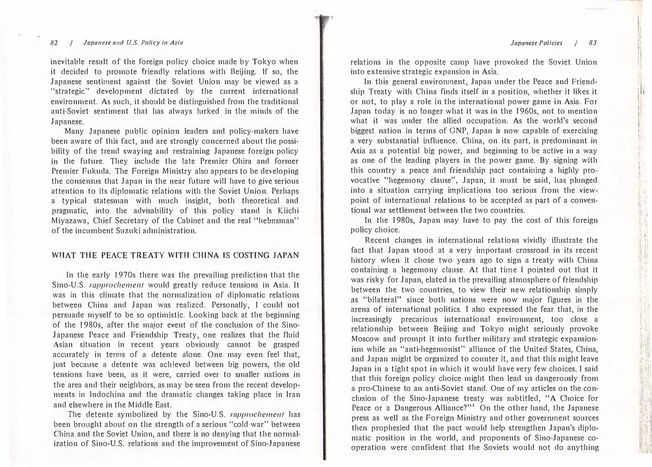**in the contract of the contract of the contract of the contract of the contract of the contract of the contract of the contract of the contract of the contract of the contract of the contract of the contract of the contra** 

 $\label{eq:2.1} \begin{split} \frac{\partial \mathcal{L}}{\partial t} & = \frac{1}{2} \mathcal{L} \frac{1}{2} \mathcal{L} \left[ \frac{1}{2} \mathcal{L} \frac{1}{2} \mathcal{L} \frac{1}{2} \mathcal{L} \frac{1}{2} \mathcal{L} \frac{1}{2} \mathcal{L} \frac{1}{2} \mathcal{L} \frac{1}{2} \mathcal{L} \frac{1}{2} \mathcal{L} \frac{1}{2} \mathcal{L} \frac{1}{2} \mathcal{L} \frac{1}{2} \mathcal{L} \frac{1}{2} \mathcal{L} \frac{1}{$ 『 〉14171

'i:\! l

lfi1'! it.!: .;

#### Japanese and U.S. Policy in Asia de Anti-Asia Japanese Policies (33) and the Samuel Asia Japanese Policies (33) 82

inevitable result of the foreign policy choice made by Tokyo when it decided to promote friendly relations with Beijing. lf so, the Japanese sentiment against the Soviet Union may be viewed as a "strategic" development dictated by the current international environment. As such, it should be distinguished from the traditional anti-Soviet sentiment that has always lurked in the minds of the Japanese.

Many Japanese public opinion leaders and policy-makers have been aware of this fact, and are strongly concerned about the possibility of the trend swaying and restraining Japanese foreign policy in the future. They include the late Premier Ohira and former Premier Fukuda. The Foreign Ministry also appears to be developing the consensus that Japan in the near future will have to give serious attention to its diplomatic relations with the Soviet Union. Perhaps a typical statesman with much insight, both theoretical and pragmatic, into the advisability of this policy stand is Kiichi Miyazawa, Chief Secretary of the Cabinet and the real "helmsman" of the incumbent Suzuki administration.

#### WHAT THE PEACE TREATY WITH CHINA IS COSTING JAPAN

In the early 1970s there was the prevailing prediction that the Sino・U.S. rapprochement would greatly reduce tensions in Asia. It was in this climate that the normalization of diplomatic relations between China and Japan was realized. Personally, I could not persuade myself to be so optimistic. Looking back at the beginning of the 1980s, after the major event of the conclusion of the Sino-Japanese Peace and Friendship Treaty, one realizes that the fluid Asian situation in recent years obviously cannot be grasped accurately in terms of a detente alone. One may even feel that, just because a detente was achieved between big powers, the old tensions have been, as it were, carried over to smaller nations in the area and their neighbors, as may be seen from the recent developments in Indochina and the dramatic changes taking place in Iran and elsewhere in the Middle East.

The detente symbolized by the Sino-U.S. rapprochement has been brought about on the strength of a serious "cold war" between China and the Soviet Union, and there is no denying that the normalization of Sino・U.S. relations and the improvement of Sino・Japanese

relations in the opposite camp have provoked the Soviet Union in to ex tensive strategic expansion in Asia.

In this general environment, Japan under the Peace and Friendship Treaty with China finds itself in a position, whether it likes it or not, to play a role in the international power game in Asia. For Japan today is no longer what it was in the 1960s, not to mention what it was under the allied occupation. As the world's second biggest nation in terms of GNP, Japan is now capable of exercising a very substanatial influence. China, on its part, is predominant in Asia as a potential big power, and beginning to be active in a way as one of the leading players in the power game. By signing with this country a peace and friendship pact containing a highly provocative "hegemony clause", Japan, it must be said, has plunged into a situation carrying implications too serious from the viewpoint of international relations to be accepted as part of a conventional war settlement between the two countries. l--anap :l'11'

In the 1980s, Japan may have to pay the cost of this foreign policy choice.

Recent changes in international relations vividly illustrate the fact that Japan stood at a very important crossroad in its recent history when it chose two years ago to sign a treaty with China containing a hegemony clause. At that time I pointed out that it was risky for Japan, elated in the prevailing atmosphere of friendship between the two countries, to view their new relationship simply as "bilateral" since both nations were now major figures in the arena of international politics. I also expressed the fear that, in the increasingly precarious international environment, too close a relationship between Beijing and Tokyo might seriously provoke Moscow and prompt it into further military and strategic expansionism while an "anti-hegemonist" alliance of the United States, China, and Japan might be organized to counter it, and that this might leave Japan in a tight spot in which it would have very few choices. I said that this foreign policy choice might then lead us dangerously from a pro-Chinese to an anti-Soviet stand. One of my articles on the conclusion of the Sino・Japanese treaty was subtitled, "A Choice for Peace or a Dangerous Alliance?"1 On the other hand, the Japanese press as well as the Foreign Ministry and other govenunent sources then prophesied that the pact would help strengthen Japan's diplomatic position in the world, and proponents of Sino-Japanese cooperation were confident that the Soviets would not do anything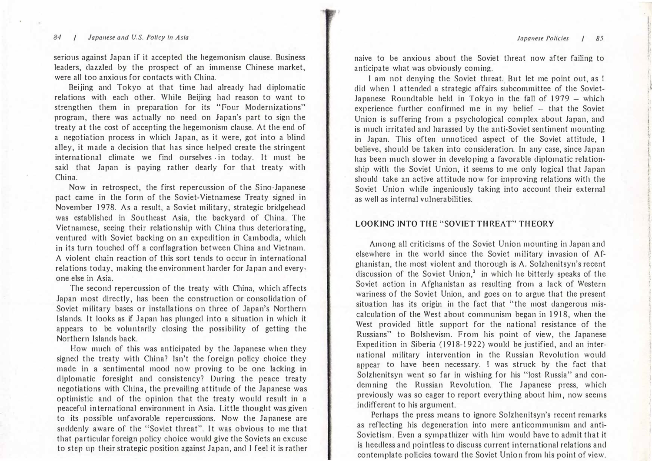#### 84 / Japanese and U.S. Policy in Asia

serious against Japan if it accepted the hegemonism clause. Business leaders, dazzled by the prospect of an immense Chinese market, were all too anxious for contacts with China.

Beijing and Tokyo at that time had already had diplomatic relations with each other. While Beijing had reason to want to strengthen them in preparation for its "Four Modernizations" program, there was actually no need on Japan's part to sign the treaty at the cost of accepting the hegemonism clause. At the end of a negotiation process in which Japan, as it were, got into a blind alley, it made a decision that has since helped create the stringent international climate we find ourselves . in today. It must be said that Japan is paying rather dearly for that treaty with China.

Now in retrospect, the first repercussion of the Sino・Japanese pact came in the form of the Soviet-Vietnamese Treaty signed in November 1978. As a result, a Soviet military, strategic bridgehead was established in Southeast Asia, the backyard of China. The Vietnamese, seeing their relationship with China thus deteriorating, ventured with Soviet backing on an expedition in Cambodia, which in its turn touched off a conflagration between China and Vietnam. A violent chain reaction of this sort tends to occur in international relations today, making the environment harder for Japan and everyone else in Asia.

The second repercussion of the treaty with China, which affects Japan most directly, has been the construction or consolidation of Soviet military bases or installations on three of Japan's Northern Islands. It looks as if Japan has plunged into a situation in which it appears to be voluntarily closing the possibility of getting the Northern Islands back.

How much of this was anticipated by the Japanese when they signed the treaty with China? lsn't the foreign policy choice they made in a sentimental mood now proving to be one lacking in diplomatic foresight and consistency? During the peace treaty negotiations with China, the prevailing attitude of the Japanese was optimistic and of the opinion that the treaty would result in a peaceful international environment in Asia. Little thought was given to its possible unfavorable repercussions. Now the Japanese are suddenly aware of the "Soviet threat". It was obvious to me that that particular foreign policy choice would give the Soviets an excuse to step up their strategic position against Japan, and I feel it is rather naive to be anxious about the Soviet threat now after failing to anticipate what was obviously coming.

I am not denying the Soviet threat. But let me point out, as I did when I attended a strategic affairs subcommittee of the Soviet-Japanese Roundtable held in Tokyo in the fall of 1979 - which experience further confirmed me in my belief  $-$  that the Soviet Union is suffering from a psychological complex about Japan, and is much irritated and harassed by the anti-Soviet sentiment mounting in Japan. This often unnoticed aspect of the Soviet attitude, I believe, should be taken into consideration. In any case, since Japan has been much slower in developing a favorable diplomatic relationship with the Soviet Union, it seems to me only logical that Japan should take an active attitude now for improving relations with the Soviet Union while ingeniously taking into account their external as well as internal vulnerabilities.

### LOOKING INTO THE"SOVIET THREAT" THEORY

Among all criticisms of the Soviet Union mounting in Japan and elsewhere in the world since the Soviet military invasion of Afghanistan, the most violent and thorough is A. Solzhenitsyn's recent discussion of the Soviet Union, $2$  in which he bitterly speaks of the Soviet action in Afghanistan as resulting from a lack of Western wariness of the Soviet Union, and goes on to argue that the present situation has its origin in the fact that "the most dangerous miscalculation of the West about communism began in 1918, when the West provided little support for the national resistance of the Russians" to Bolshevism. From his point of view, the Japanese Expedition in Siberia (1918-1922) would be justified, and an international military intervention in the Russian Revolution would appear to have been necessary. I was struck by the fact that Solzhenitsyn went so far in wishing for his "lost Russia" and condemning the Russian Revolution. The Japanese press, which previously was so eager to report everything about him, now seems indifferent to his argument.

Perhaps the press means to ignore Solzhenitsyn's recent remarks as reflecting his degeneration into mere anticommunism and anti-Sovietism. Even a sympathizer with him would have to admit that it is heedless and pointless to discuss current international relations and contemplate policies toward the Soviet Union from his point of view.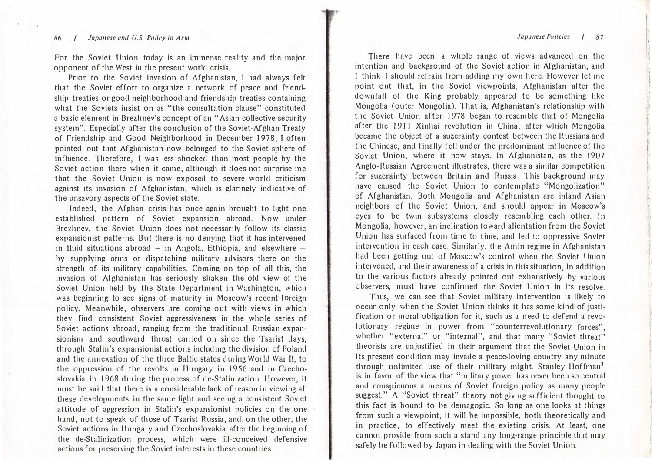#### 86 / Japanese and U.S. Policy in Asia  $\overline{a}$  87

For the Soviet Union today is an immense reality and the major opponent of the West in the present world crisis.

Prior to the Soviet invasion of Afghanistan, I had always felt that the Soviet effort to organize a network of peace and friendship treaties or good neighborhood and friendship treaties containing what the Soviets insist on as "the consultation clause" constituted a basic element in Brezhnev's concept of an"Asian collective security system". Especially after the conclusion of the Soviet-Afghan Treaty of Friendship and Good Neighborhood in December 1978, I often pointed out that Afghanistan now belonged to the Soviet sphere of influence. Therefore, I was less shocked than most people by the Soviet action there when it came, although it does not surprise me that the Soviet Union is now exposed to severe world criticism against its invasion of A fghanistan, which is glaringly indicative of the unsavory aspects of the Soviet state.

Indeed, the Afghan crisis has once again brought to light one established pattern of Soviet expansion abroad. Now under Brezhnev, the Soviet Union does not necessarily follow its classic expansionist patterns. But there is no denying that it has intervened in fluid situations abroad – in Angola, Ethiopia, and elsewhere  $$ by supplying arms or dispatching military advisors there on the strength of its military capabilities. Coming on top of all this, the invasion of Afghanistan has seriously shaken the old view of the Soviet Union held by the State Department in Washington, which was beginning to see signs of maturity in Moscow's recent foreign policy. Meanwhile, observers are coming out with views in which they find consistent Soviet aggressiveness in the whole series of Soviet actions abroad, ranging from the traditional Russian expansionism and southward thrust carried on since the Tsarist days, through Stalin's expansionist actions including the division of Poland and the annexation of the three Baltic states during World War II, to the oppression of the revolts in Hungary in 1956 and in Czechoslovakia in 1968 during the process of de-Stalinization. However, it must be said that there is a considerable lack of reason in viewing all these developments in the same light and seeing a consistent Soviet attitude of aggression in Stalin's expansionist policies on the one hand, not to speak of those of Tsarist Russia, and, on the other, the Soviet actions in Hungary and Czechoslovakia after the beginning of the de-Stalinization process, which were ill-conceived defensive actions for preserving the Soviet interests in these countries.

There have been a whole range of views advanced on the intention and background of the Soviet action in Afghanistan, and I think I should refrain from adding my own here. However let me point out that, in the Soviet viewpoints, A fghanistan after the downfall of the King probably appeared to be something like Mongolia (outer Mongolia). That is, Afghanistan's relationship with the Soviet Union after 1978 began to resemble that of Mongolia after the 1911 Xinhai revolution in China, after which Mongolia became the object of a suzerainty contest between the Russians and the Chinese, and finally fell under the predominant influence of the Soviet Union, where it now stays. In Afghanistan, as the 1907 Anglo・Russian Agreement illustrates, there was a similar competition for suzerainty between Britain and Russia. This background may have caused the Soviet Union to contemplate "Mongolization" of Afghanistan. Both Mongolia. and Afghanistan are inland Asian neighbors of the Soviet Union, and should appear in Moscow's eyes to be twin subsystems closely resembling each other. In Mongolia, however, an inclination toward alientation from the Soviet Union has surfaced from time to t ime, and Jed to oppressive Soviet intervention in each case. Similarly, the Amin regime in A fghanistan had been getting out of Moscow's control when the Soviet Union intervened, and their awareness of a crisis in this situation, in addition to the various factors already pointed out exhaustively by various observers, must have confirmed the Soviet Union in its resolve. Mongolia (outer Mongolia). That is, Algannaria's relationship with<br>the Soviet Union after 1978 began to resemble that of Mongolia<br>felcer the 1911 Xinhai revolution in China, after which Mongolia<br>became the object of a suze

Thus, we can see that Soviet military intervention is likely to occur only when the Soviet Union thinks it has some kind of justification or moral obligation for it, such as a need to defend a revolutionary regime in power from "counterrevolutionary forces", whether "external" or "internal", and that many "Soviet threat" theorists are unjustified in their argument that the Soviet Union in its present condition may invade a peace-loving country any minute through unlimited use of their military might. Stanley Hoffman<sup>3</sup> is in favor of the view that "military power has never been so central and conspicuous a means of Soviet foreign policy as many people suggest." A "Soviet threat" theory not giving sufficient thought to this fact is bound to be demagogic. So long as one looks at things from such a viewpoint, it will be impossible, both theoretically and in practice, to effectively meet the existing crisis. At least, one cannot provide from such a stand any long-range principle that may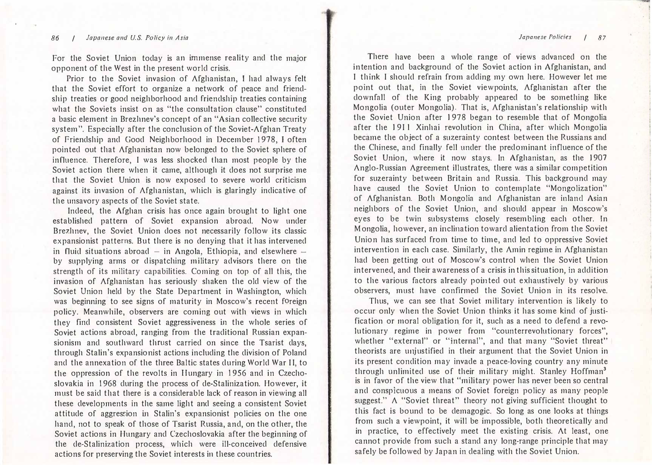#### Japanese Policies / 87

#### 86 / Japanese and U.S. Policy in Asia

For the Soviet Union today is an immense reality and the major opponent of the West in the present world crisis.

Prior to the Soviet invasion of Afghanistan, I had always felt that the Soviet effort to organize a network of peace and friendship treaties or good neighborhood and friendship treaties containing what the Soviets insist on as "the consultation clause" constituted a basic element in Brezhnev's concept of an "Asian collective security system". Especially after the conclusion of the Soviet-Afghan Treaty of Friendship and Good Neighborhood in December 1978, I often pointed out that Afghanistan now belonged to the Soviet sphere of influence. Therefore, I was less shocked than most people by the Soviet action there when it came, although it does not surprise me that the Soviet Union is now exposed to severe world criticism against its invasion of Afghanistan, which is glaringly indicative of the unsavory aspects of the Soviet state.

Indeed, the Afghan crisis has once again brought to light one established pattern of Soviet expansion abroad. Now under Brezhnev, the Soviet Union does not necessarily follow its classic expansionist patterns. But there is no denying that it has intervened in fluid situations abroad  $-$  in Angola, Ethiopia, and elsewhere  $$ by supplying arms or dispatching military advisors there on the strength of its military capabilities. Coming on top of all this, the invasion of Afghanistan has seriously shaken the old view of the Soviet Union held by the State Department in Washington, which was beginning to see signs of maturity in Moscow's recent foreign policy. Meanwhile, observers are coming out with views in which they find consistent Soviet aggressiveness in the whole series of Soviet actions abroad, ranging from the traditional Russian expansionism and southward thrust carried on since the Tsarist days, through Stalin's expansionist actions including the division of Poland and the annexation of the three Baltic states during World War II, to the oppression of the revolts in Hungary in J 956 and in Czechoslovakia in 1968 during the process of de-Stalinization. However, it must be said that there is a considerable lack of reason in viewing all these developments in the same light and seeing a consistent Soviet attitude of aggression in Stalin's expansionist policies on the one hand, not to speak of those of Tsarist Russia, and, on the other, the Soviet actions in Hungary and Czechoslovakia after the beginning of the de-Stalinization process, which were ill-conceived defensive actions for preserving the Soviet interests in these countries.

There have been a whole range of views advanced on the intention and background of the Soviet action in Afghanistan, and I think I should refrain from adding my own here. However let me point out that, in the Soviet viewpoints, Afghanistan after the downfall of the King probably appeared to be something like Mongolia (outer Mongolia). That is, Afghanistan's relationship with the Soviet Union after 1978 began to resemble that of Mongolia after the 1911 Xinhai revolution in China, after which Mongolia became the object of a suzerainty contest between the Russians and the Chinese, and finally fell under the predominant influence of the Soviet Union, where it now stays. In Afghanistan, as the 1907 Anglo・Russian Agreement illustrates, there was a similar competition for suzerainty between Britain and Russia. This background may have caused the Soviet Union to contemplate "Mongolization" of Afghanistan. Both Mongolia and Afghanistan are inland Asian neighbors of the Soviet Union, and should appear in Moscow's eyes to be twin subsystems closely resembling each other. In Mongolia, however, an inclination toward alientation from the Soviet Union has surfaced from time to time, and led to oppressive Soviet intervention in each case. Similarly, the Amin regime in Afghanistan had been getting out of Moscow's control when the Soviet Union intervened, and their awareness of a crisis in this situation, in addition to the various factors already pointed out exhaustively by various observers, must have confirmed the Soviet Union in its resolve.

Thus, we can see that Soviet military intervention is likely to occur only when the Soviet Union thinks it has some kind of justification or moral obligation for it, such as a need to defend a revo-Ju tionary regime in power from "counterrevolutionary forces", whether "external" or "internal", and that many "Soviet threat" theorists are unjustified in their argument that the Soviet Union in its present condition may invade a peace-loving country any minute through unlimited use of their military might. Stanley Hoffman<sup>3</sup> is in favor of the view that "military power has never been so central and conspicuous a means of Soviet foreign policy as many people suggest." A "Soviet threat" theory not giving sufficient thought to this fact is bound to be demagogic. So long as one looks at things from such a v iewpoint, it will be impossible, both theoretically and in practice, to effectively meet the existing crisis. At least, one cannot provide from such a stand any long-range principle that may safely be followed by Japan in dealing with the Soviet Union.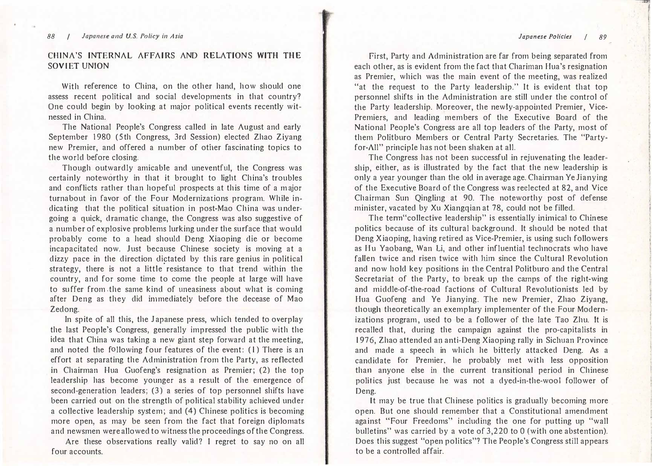#### Japanese Policies I 89

#### 88 / Japanese and U.S. Policy in Asia

### CHINA'S INTERNAL AFFAIRS AND RELATIONS WITH THE SOVIET UNION

With reference to China, on the other hand, how should one assess recent political and social developments in that country? One could begin by looking at major political events recently witnessecl in China.

The National People's Congress called in late August and early September 1980 (5th Congress, 3rd Session) elected Zhao Ziyang new Premier, and offered a number of other fascinating topics to the world before closing.

Though outwardly amicable and uneventful, the Congress was certainly noteworthy in that it brought to light China's troubles and conflicts rather than hopeful prospects at this time of a m ajor turnabout in favor of the Four Modernizations program. While in・ dicating that the political situation in post-Mao China was undergoing a quick, dramatic change, the Congress was also suggestive of a number of explosive problems lurking under the surface that would probably come to a head should Deng Xiaoping die or become incapacitated now. Just because Chinese society is moving at a dizzy pace in the direction dictated by this rare genius in political strategy, there is not a little resistance to that trend within the country, and for some time to come the people at large will have to su ffer from. the same kind of uneasiness about what is coming after Deng as they did immediately before the decease of Mao Zedong.

In spite of all this, the Japanese press, which tended to overplay the last People's Congress, generally impressed the public with the idea that China was taking a new giant step forward at the meeting, and noted the following four features of the event: (1) There is an effort at separating the Administration from the Party, as reflected in Chairman Hua Guofeng's resignation as Premier; (2) the top leadership has become younger as a result of the emergence of second-generation leaders; (3) a series of top personnel shifts have been carried out on the strength of political stability achieved under a collective leadership system; and (4) Chinese politics is becoming more open, as may be seen from the fact that foreign diplomats and newsmen were allowed to witness the proceedings of the Congress.

Are these observations really valid? I regret to say no on all four accounts.

First, Party and Administration are far from being separated from each other, as is evident from the fact that Chariman Hua's resignation as Premier, which was the main event of the meeting, was realized "at the request to the Party leadership." It is evident that top personnel shifts in the Administration are still under the control of the Party leadership. Moreover, the newly-appointed Premier, Vice-Premiers, and leading members of the Executive Board of the National People's Congress are all top leaders of the Party, most of them Politburo Members or Central Party Secretaries. The "Partyfor-All" principle has not been shaken at all.

The Congress has not been successful in rejuvenating the leadership, either, as is illustrated by the fact that the new leadership is only a year younger than the old in average age. Chairman Ye Jianying of the Executive Board of the Congress was reelected at 82, and Vice Chairman Sun Qingling at 90. The noteworthy post of defense minister, vacated by Xu Xiangqian at 78, could not be filled.

The term"collective leadership" is essentially inimical to Chinese politics because of its cultural background. It should be noted that Deng Xiaoping, having retired as Vice-Premier, is using such followers as Hu Yaobang, Wan Li, and other influential technocrats who have fallen twice and risen twice with him since the Cultural Revolution and now hold key positions in the Central Politburo and the Central Secretariat of the Party, to break up the camps of the right-wing and middle-of-the-road factions of Cultural Revolutionists led by Hua Guofeng and Ye Jianying. The new Premier, Zhao Ziyang, though theoretically an exemplary implementer of the Four Modernizations program, used to be a follower of the late Tao Zhu. It is recalled that, during the campaign against the pro-capitalists in 1976, Zhao attended an anti-Deng Xiaoping rally in Sichuan Province and made a speech in which he bitterly attacked Deng. As a candidate for Premier, he probably met with less opposition than anyone else in the current transitional period in Chinese politics just because he was not a dyed-in-the-wool follower of Deng.

It may be true that Chinese politics is gradually becoming m ore open. But one should remember that a Constitutional amendment against "Four Freedoms" including the one for putting up "wall bulletins" was carried by a vote of 3,220 to 0 (with one abstention). Does this suggest "open politics"? The People's Congress still appears to be a controlled affair.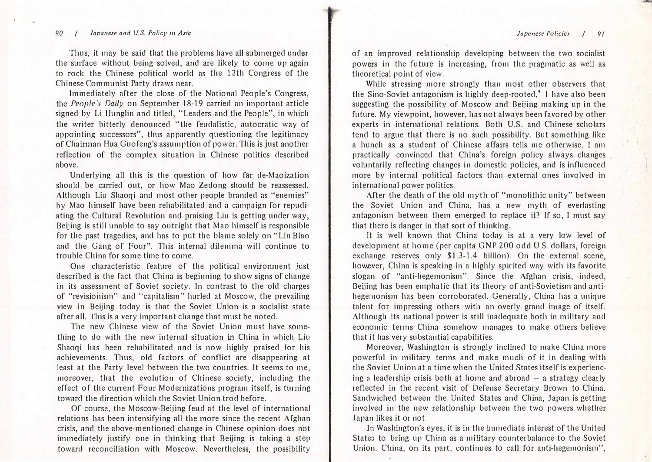ζ晶句邑

#### 90 / Japanese and U.S. Policy in Asia

Thus, it may be said that the problems have all submerged under the surface without being solved, and are likely to come up again to rock the Chinese political world as the 12th Congress of the Chinese Communist Party draws near.

Immediately after the close of the National People's Congress, the People's Daily on September 18-19 carried an important article signed by Li Hunglin and titled, "Leaders and the People", in which the writer bitterly denounced "the feudalistic, autocratic way of appointing successors", thus apparently questioning the legitimacy of Chairman Hua Guofeng's assumption of power. This is just another reflection of the complex situation in Chinese politics described above.

Underlying all this is the question of how far de-Maoization should be carried out, or how Mao Zedong should be reassessed. Although Liu Shaoqi and most other people branded as "enemies" by Mao himself have been rehabilitated and a campaign for repudiating the Cultural Revolution and praising Liu is getting under way, Beijing is still unable to say outright that Mao himself is responsible for the past tragedies, and has to put the blame solely on"Lin Biao and the Gang of Four". This internal dilemma will continue to trouble China for some time to come.

One characteristic feature of the political enviromnent just described is the fact that China is beginning to show signs of change in its assessment of Soviet society. In contrast to the old charges of "revisionism" and "capitalism" hurled at Moscow, the prevailing view in Beijing today is that the Soviet Union is a socialist state after all. This is a very important change that must be noted.

The new Chinese view of the Soviet Union must have something to do with the new internal situation in China in which Liu Shaoqi has been rehabilitated and is now highly praised for his achievements. Thus, old factors of conflict are disappearing at least at the Party level between the two countries. It seems to me, moreover, that the evolution of Chinese society, including the effect of the cunent Four Modernizations program itself, is turning toward the direction which the Soviet Union trod before.

Of course, the Moscow-Beijing feud at the level of international relations has been intensifying all the more since the recent Afghan crisis, and the above-mentioned change in Chinese opinion does not immediately justify one in thinking that Beijing is taking a step toward reconciliation with Moscow. Nevertheless, the possibility of an improved relationship developing between the two socialist powers in the future is increasing, from the pragmatic as well as theoretical point of view.

While stressing more strongly than most other observers that the Sino-Soviet antagonism is highly deep-rooted,<sup>4</sup> I have also been suggesting the possibility of Moscow and Beijing making up in the future. My viewpoint, however, has not always been favored by other experts in international relations. Both U.S. and Chinese scholars tend to argue that there is no such possibility. But something like<br>a hunch as a student of Chinese affairs tells me otherwise. I am<br>practically convinced that China's foreign policy always changes a hunch as a student of Chinese affairs tells me otherwise. I am voluntarily reflecting changes in domestic policies, and is influenced more by internal political factors than external ones involved in international power politics.

After the death of the old myth of "monolithic unity" between the Soviet Union and China, has a new myth of everlasting antagonism between them emerged to replace it? If so, I must say that there is clanger in that sort of thinking.

It is well known that China today is at a very low level of development at home (per capita GNP 200 odd U.S. dollars, foreign exchange reserves only \$1.3-1.4 billion). On the external scene, however, China is speaking in a highly spirited way with its favorite slogan of "anti-hegemonism". Since the Afghan crisis, indeed, Beijing has been emphatic that its theory of anti-Sovietism and antihegemonism has been corroborated. Generally, China has a unique talent for impressing others with an overly grand image of itself. Although its national power is still inadequate both in military and economic terms China somehow manages to make others believe that it has very substantial capabilities.

Moreover, Washington is strongly inclined to make China more powerful in military terms and make much of it in dealing with the Soviet Union at a time when the United States itself is experiencing a leadership crisis both at home and abroad  $-$  a strategy clearly reflected in the recent visit of Defense Secretary Brown to China. Sandwiched between the United States and China, Japan is getting involved in the new relationship between the two powers whether Japan likes it or not.

In Washington's eyes, it is in the immediate interest of the United States to bring up China as a military counterbalance to the Soviet Union. China, on its part, continues to call for anti-hegemonism".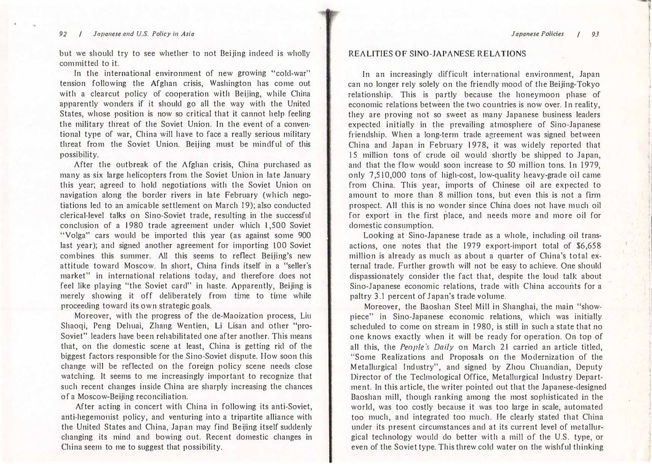#### 92 / Japanese and U.S. Policy in Asia

but we should try to see whether to not Beijing indeed is wholly committed to it.

In the international environment of new growing ''cold-war" tension following the Afghan crisis, Washington has come out with a clearcut policy of cooperation with Beijing, while China apparently wonders if it should go all the way with the United States, whose position is now so critical that it cannot help feeling the military threat of the Soviet Union. In the event of a conventional type of war, China will have to face a really serious military threat from the Soviet Union. Beijing must be mindful of this possibility.

After the outbreak of the A fghan crisis, China purchased as many as six large helicopters from the Soviet Union in late January this year; agreed to hold negotiations with the Soviet Union on navigation along the border rivers in late February (which negotiations led to an amicable settlement on March 1 9); also conducted clerical-level talks on Sino・Soviet trade, resulting in the successful conclusion of a 1980 trade agreement under which 1,500 Soviet "Volga" cars would be imported this year (as against some 900 last year); and signed another agreement for importing 100 Soviet combines this summer. All this seems to reflect Beijing's new attitude toward Moscow. In short, China finds itself in a "seller's market" in international relations today, and therefore does not feel like playing "the Soviet card" in haste. Apparently, Beijing is merely showing it off deliberately from time to time while proceeding toward its own strategic goals.

Moreover, with the progress of the cle-Maoization process, Liu Shaoqi, Peng Dehuai, Zhang Wentien, Li Lisan and other "pro-Soviet" leaders have been rehabilitated one after another. This means that, on the domestic scene at least, China is getting rid of the biggest factors responsible for the Sino・Soviet dispute. How soon this change will be reflected on the foreign policy scene needs close watching. It seems to me increasingly important to recognize that such recent changes inside China are sharply increasing the chances of a Moscow-Beijing reconciliation.

After acting in concert with China in following its anti-Soviet, anti-hegemonist policy, and venturing into a tripartite alliance with the United States and China, Japan may find Beijing itself suddenly changing its mind and bowing out. Recent domestic changes in China seem to me to suggest that possibility.

#### REALITIES OF SINO・JAPANESE RELATIONS

In an increasingly difficult international environment, Japan can no longer rely solely on the friendly mood of the Beijing-Tokyo relationship. This is partly because the honeymoon phase of economic relations between the two countries is now over. In reality, they are proving not so sweet as many Japanese business leaders expected initially in the prevailing atmosphere of Sino・Japanese friendship. When a long-term trade agreement was signed between China and Japan in February 1978, it was widely reported that 15 million tons of crude oil would shortly be shipped to Japan, and that the flow would soon increase to 50 million tons. In 1979, only 7,510,000 tons of high-cost, low-quality heavy-grade oil came from China. This year, imports of Chinese oil are expected to amount to more than 8 million tons, but even this is not a firm prospect. All this is no wonder since China does not have much oil for export in the first place, and needs more and more oil for domestic consumption.

Looking at Sino-Japanese trade as a whole, including oil transactions, one notes that the 1979 export-import total of \$6,658 million is already as much as about a quarter of China's total external trade. Further growth will not be easy to achieve. One should dispassionately consider the fact that, despite the loud talk about Sino-Japanese economic relations, trade with China accounts for a paltry 3.1 percent of Japan's trade volume.

Moreover, the Baoshan Steel Mill in Shanghai, the main "showpiece" in Sino・Japanese economic relations, which was initially scheduled to come on stream in 1 980, is still in such a state that no one knows exactly when it will be ready for operation. On top of all this, the People's Daily on March 21 carried an article titled, "Some Realizations and Proposals on the Modernization of the Metallurgical Industry", and signed by Zhou Chuandian, Deputy Director of the Teclmological Office, Metallurgical Industry Department. In this article, the writer pointed out that the Japanese-designed Baoshan mill, though ranking among the most sophisticated in the world, was too costly because it was too large in scale, automated too much, and integrated too much. He clearly stated that China under its present circumstances and at its current level of metallurgical technology would do better with a mill of the U.S. type, or even of the Soviet type. This threw cold water on the wishful thinking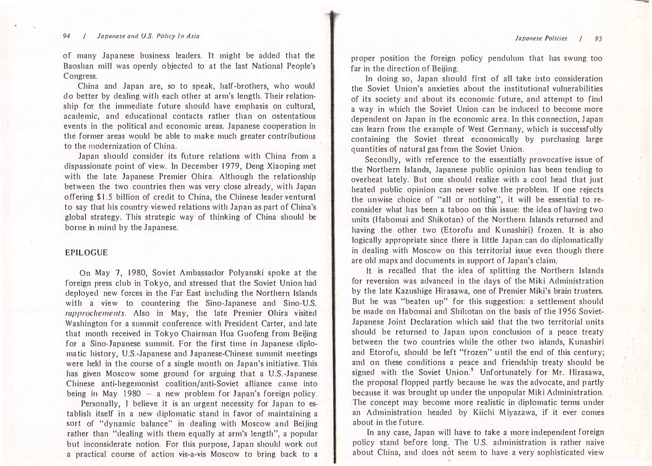Japanese Policies / 95

#### 94 / Japanese and U.S. Policy In Asia

of many Japanese business leaders. It might be added that the Baoshan mill was openly o bjected to at the last National People's Congress.

China and Japan are, so to speak, half-brothers, who would do better by dealing with each other at arm's length. Their relationship for the immediate future should have emphasis on cultural, academic, and educational contacts rather than on ostentatious events in the political and economic areas. Japanese cooperation in the former areas would be able to make much greater contributions to the modernization of China.

Japan should consider its future relations with China from a dispassionate point of view. In December 1979, Deng Xiaoping met with the late Japanese Premier Ohira. Although the relationship between the two countries then was very close already, with Japan offering \$1.5 billion of credit to China, the Chinese leader ventured to say that his country viewed relations with Japan as part of China's global strategy. This strategic way of thinking of China should be borne in mind by the Japanese.

#### EPILOGUE

On May 7, 1980, Soviet Ambassador Polyanski spoke at the foreign press club in Tokyo, and stressed that the Soviet Union had deployed new forces in the Far East including the Northern Islands with a view to countering the Sino-Japanese and Sino-U.S. rapprochements. Also in May, the late Premier Ohira visited Washington for a summit conference with President Carter, and late that month received in Tokyo Chairman Hua Guofeng from Beijing for a Sino・Japanese summit. For the first time in Japanese cliplomatic history, U.S.-Japanese and Japanese-Chinese summit meetings were held in the course of a single month on Japan's initiative. This has given Moscow some ground for arguing that a U.S.-Japanese Chinese anti-hegemonist coalition/anti-Soviet alliance came into being in May 1980  $-$  a new problem for Japan's foreign policy.

Personally, I believe it is an urgent necessity for Japan to establish itself in a new diplomatic stand in favor of maintaining a sort of "dynamic balance" in dealing with Moscow and Beijing rather than "dealing with them equally at arm's length", a popular but inconsiderate notion. For this purpose, J apan should work out a practical course of action vis-a-vis Moscow to bring back to a

proper position the foreign policy pendulum that has swung too far in the direction of Beijing.

In doing so, Japan should first of all take into consideration the Soviet Union's anxieties about the institutional vulnerabilities of its society and about its economic future, and attempt to find a way in which the Soviet Union can be induced to become more dependent on Japan in the economic area. In this connection, Japan can learn from the example of West Gennany, which is successfully containing the Soviet threat economically by purchasing large quantities of natural gas from the Soviet Union.

Secondly, with reference to the essentially provocative issue of the Northern Islands, Japanese public opinion has been tending to overheat lately. But one should realize with a cool head that just heated public opinion can never solve the problem. If one rejects the unwise choice of "all or nothing", it will be essential to reconsider what has been a taboo on this issue: the idea of having two units (Habomai and Shikotan) of the Northern Islands returned and having the other two (Etorofu and K unashiri) frozen. It is also logically appropriate since there is little Japan can do diplomatically in dealing with Moscow on this territorial issue even though there are old maps and documents in support of Japan's claim.

lt is recalled that the idea of splitting the Northern Islands for reversion was advanced in the days of the Miki Administration by the late Kazushige Hirasawa, one of Premier Miki's brain trusters. But he was "beaten up" for this suggestion: a settlement should be made on Habomai and Shikotan on the basis of the 1956 Soviet-Japanese Joint Declaration which said that the two territorial units should be returned to Japan upon conclusion of a peace treaty between the two countries while the other two islands, Kunashiri and Etorofu, should be left "frozen" u ntil the end of this century; and on these conditions a peace and friendship treaty should be signed with the Soviet Union.<sup>5</sup> Unfortunately for Mr. Hirasawa,<br>the proposal flopped partly because he was the advocate, and partly<br>because it was brought up under the unpopular Miki Administration. the proposal flopped partly because he was the advocate, and p artly The concept may become more realistic in diplomatic terms under an Administration headed by Kiichi Miyazawa, if it ever comes about in the future.

In any case, Japan will have to take a more independent foreign policy stand before long. The U.S. administration is rather naive about China, and does not seem to have a very sophisticated view